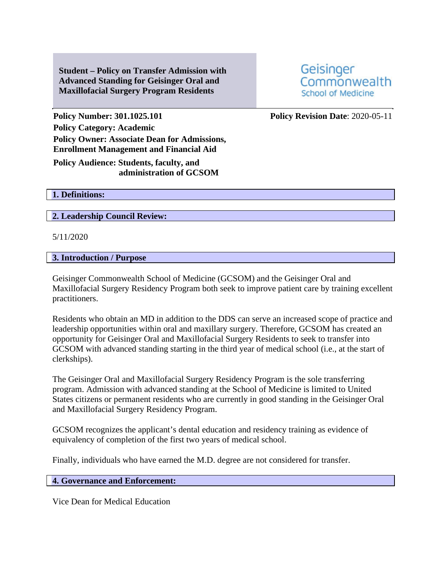**Student – Policy on Transfer Admission with Advanced Standing for Geisinger Oral and Maxillofacial Surgery Program Residents**

Geisinger Commonwealth **School of Medicine** 

**Policy Number: 301.1025.101 Policy Revision Date**: 2020-05-11 **Policy Category: Academic Policy Owner: Associate Dean for Admissions, Enrollment Management and Financial Aid**

**Policy Audience: Students, faculty, and administration of GCSOM**

**1. Definitions:** 

**2. Leadership Council Review:** 

5/11/2020

## **3. Introduction / Purpose**

Geisinger Commonwealth School of Medicine (GCSOM) and the Geisinger Oral and Maxillofacial Surgery Residency Program both seek to improve patient care by training excellent practitioners.

Residents who obtain an MD in addition to the DDS can serve an increased scope of practice and leadership opportunities within oral and maxillary surgery. Therefore, GCSOM has created an opportunity for Geisinger Oral and Maxillofacial Surgery Residents to seek to transfer into GCSOM with advanced standing starting in the third year of medical school (i.e., at the start of clerkships).

The Geisinger Oral and Maxillofacial Surgery Residency Program is the sole transferring program. Admission with advanced standing at the School of Medicine is limited to United States citizens or permanent residents who are currently in good standing in the Geisinger Oral and Maxillofacial Surgery Residency Program.

GCSOM recognizes the applicant's dental education and residency training as evidence of equivalency of completion of the first two years of medical school.

Finally, individuals who have earned the M.D. degree are not considered for transfer.

### **4. Governance and Enforcement:**

Vice Dean for Medical Education